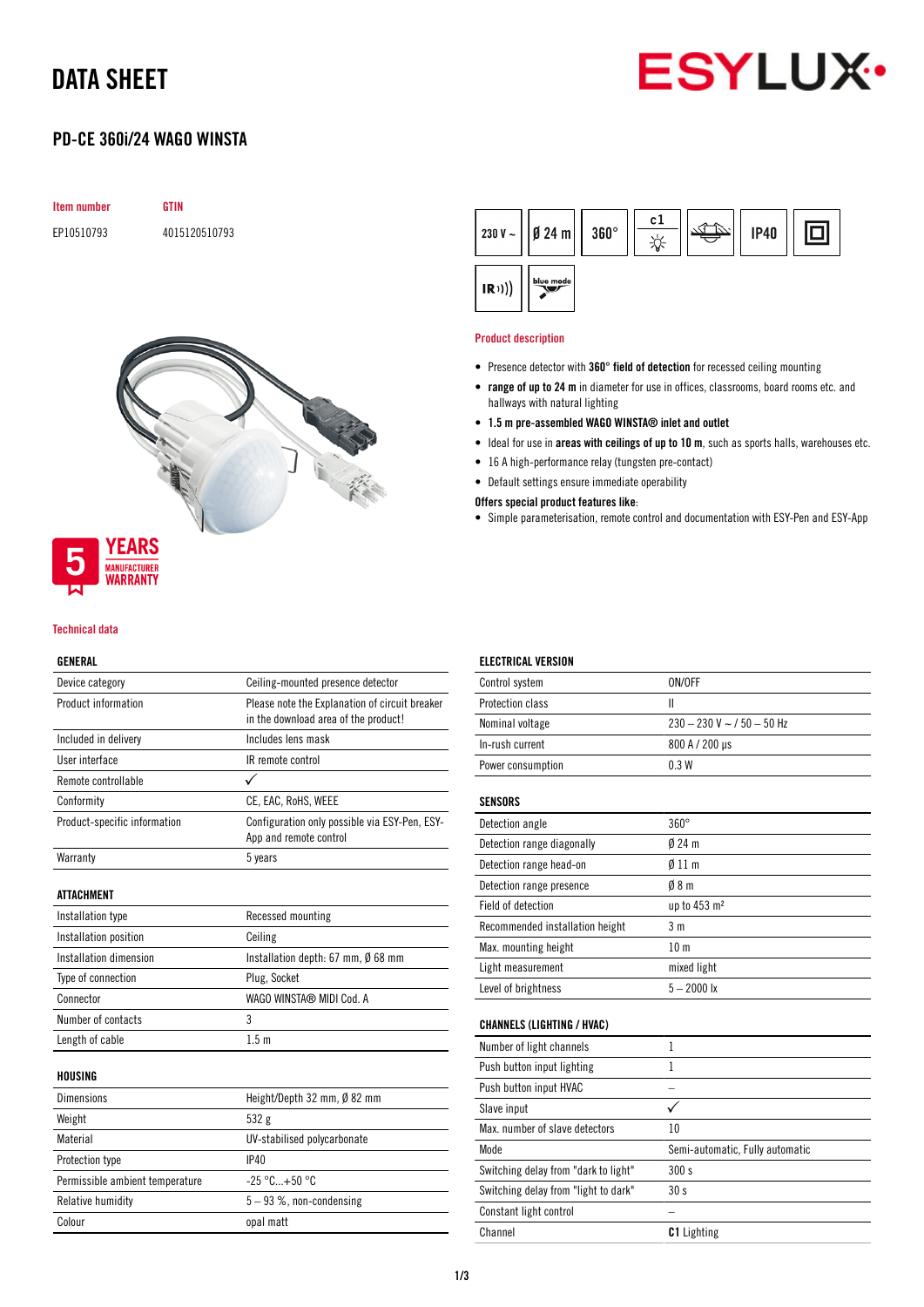# DATA SHEET



## PD-CE 360i/24 WAGO WINSTA





# *NARRANTY*

**MANUFACTURER** 

### Technical data

### GENERAL

| Device category                 | Ceiling-mounted presence detector                                                      |  |  |
|---------------------------------|----------------------------------------------------------------------------------------|--|--|
| Product information             | Please note the Explanation of circuit breaker<br>in the download area of the product! |  |  |
| Included in delivery            | Includes lens mask                                                                     |  |  |
| User interface                  | IR remote control                                                                      |  |  |
| Remote controllable             | ✓                                                                                      |  |  |
| Conformity                      | CE, EAC, RoHS, WEEE                                                                    |  |  |
| Product-specific information    | Configuration only possible via ESY-Pen, ESY-<br>App and remote control                |  |  |
| Warranty                        | 5 years                                                                                |  |  |
| ATTACHMENT                      |                                                                                        |  |  |
| Installation type               | Recessed mounting                                                                      |  |  |
| Installation position           | Ceiling                                                                                |  |  |
| Installation dimension          | Installation depth: $67$ mm, $\emptyset$ 68 mm                                         |  |  |
| Type of connection              | Plug, Socket                                                                           |  |  |
| Connector                       | WAGO WINSTA® MIDI Cod. A                                                               |  |  |
| Number of contacts              | 3                                                                                      |  |  |
| Length of cable                 | 1.5 <sub>m</sub>                                                                       |  |  |
| HOUSING                         |                                                                                        |  |  |
| <b>Dimensions</b>               | Height/Depth 32 mm, Ø 82 mm                                                            |  |  |
| Weight                          | 532 g                                                                                  |  |  |
| Material                        | UV-stabilised polycarbonate                                                            |  |  |
| Protection type                 | <b>IP40</b>                                                                            |  |  |
| Permissible ambient temperature | $-25 °C+50 °C$                                                                         |  |  |
| <b>Relative humidity</b>        | $5 - 93$ %, non-condensing                                                             |  |  |

Colour colour contract opal matt



#### Product description

- Presence detector with 360° field of detection for recessed ceiling mounting
- range of up to 24 m in diameter for use in offices, classrooms, board rooms etc. and hallways with natural lighting
- 1.5 m pre-assembled WAGO WINSTA® inlet and outlet
- Ideal for use in areas with ceilings of up to 10 m, such as sports halls, warehouses etc.
- 16 A high-performance relay (tungsten pre-contact)
- Default settings ensure immediate operability

### Offers special product features like:

• Simple parameterisation, remote control and documentation with ESY-Pen and ESY-App

| <b>ELECTRICAL VERSION</b>            |                                 |
|--------------------------------------|---------------------------------|
| Control system                       | ON/OFF                          |
| Protection class                     | Ш                               |
| Nominal voltage                      | $230 - 230$ V ~ $/$ 50 - 50 Hz  |
| In-rush current                      | 800 A / 200 µs                  |
| Power consumption                    | 0.3W                            |
| <b>SENSORS</b>                       |                                 |
| Detection angle                      | $360^\circ$                     |
| Detection range diagonally           | $024$ m                         |
| Detection range head-on              | 011 <sub>m</sub>                |
| Detection range presence             | 08 <sub>m</sub>                 |
| Field of detection                   | up to 453 m <sup>2</sup>        |
| Recommended installation height      | 3 <sub>m</sub>                  |
| Max. mounting height                 | 10 <sub>m</sub>                 |
| Light measurement                    | mixed light                     |
| Level of brightness                  | $5 - 2000$ lx                   |
| <b>CHANNELS (LIGHTING / HVAC)</b>    |                                 |
| Number of light channels             | $\mathbf{1}$                    |
| Push button input lighting           | $\mathbf{1}$                    |
| Push button input HVAC               |                                 |
| Slave input                          | ✓                               |
| Max, number of slave detectors       | 10                              |
| <b>Mode</b>                          | Semi-automatic, Fully automatic |
| Switching delay from "dark to light" | 300 s                           |
| Switching delay from "light to dark" | 30s                             |
| Constant light control               |                                 |
| Channel                              | <b>C1</b> Lighting              |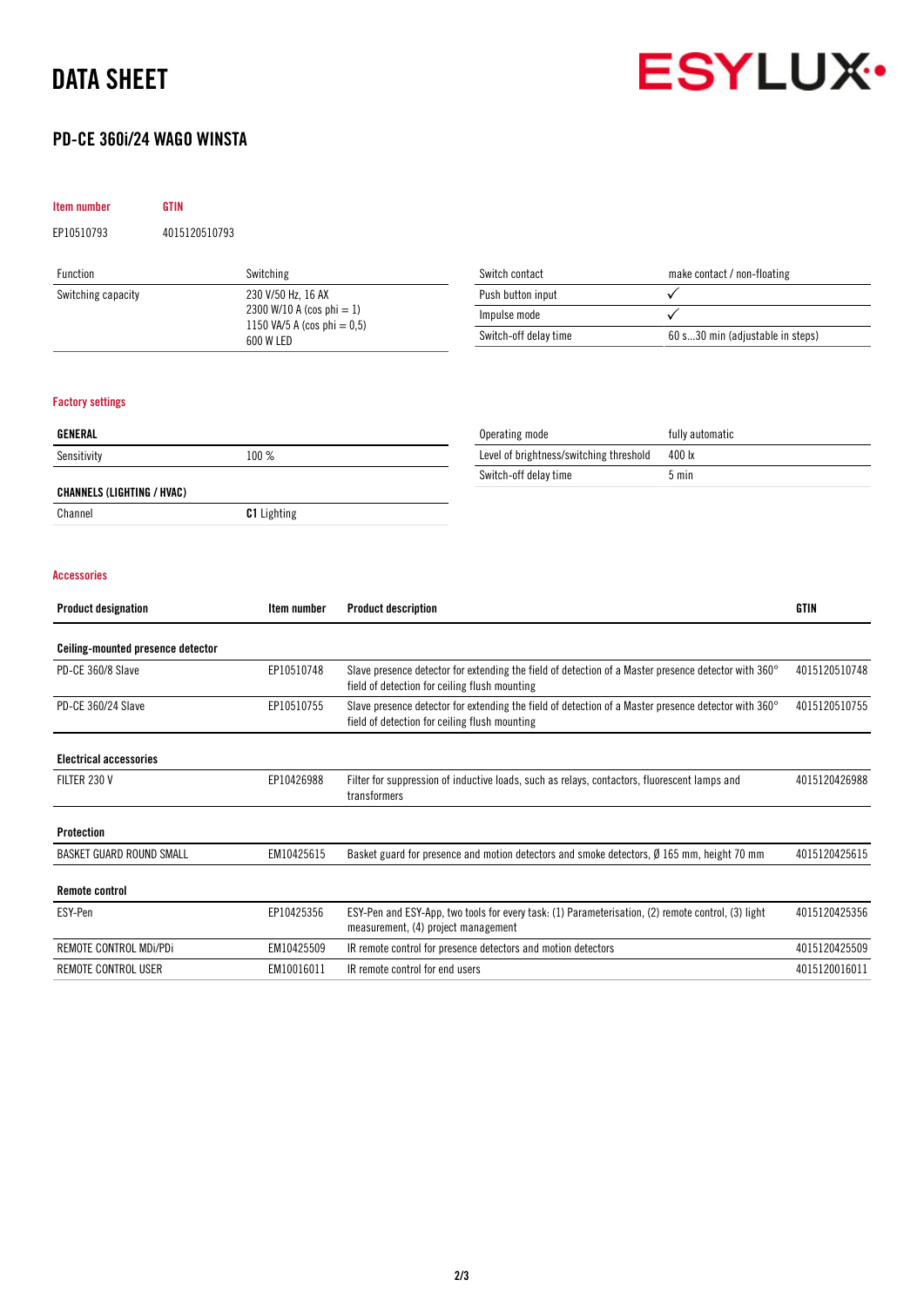# DATA SHEET

Item number GTIN

### PD-CE 360i/24 WAGO WINSTA



| EP10510793                        | 4015120510793 |                                                                          |                                                                                                                                                                        |                                                                                                      |                             |               |
|-----------------------------------|---------------|--------------------------------------------------------------------------|------------------------------------------------------------------------------------------------------------------------------------------------------------------------|------------------------------------------------------------------------------------------------------|-----------------------------|---------------|
| Function                          |               | Switching                                                                |                                                                                                                                                                        | Switch contact                                                                                       | make contact / non-floating |               |
| Switching capacity                |               | 230 V/50 Hz, 16 AX                                                       |                                                                                                                                                                        | Push button input                                                                                    | $\checkmark$                |               |
|                                   |               | 2300 W/10 A (cos phi = 1)<br>1150 VA/5 A (cos phi = $0,5$ )<br>600 W LED |                                                                                                                                                                        | Impulse mode<br>✓<br>Switch-off delay time<br>60 s30 min (adjustable in steps)                       |                             |               |
|                                   |               |                                                                          |                                                                                                                                                                        |                                                                                                      |                             |               |
|                                   |               |                                                                          |                                                                                                                                                                        |                                                                                                      |                             |               |
| <b>Factory settings</b>           |               |                                                                          |                                                                                                                                                                        |                                                                                                      |                             |               |
| <b>GENERAL</b>                    |               |                                                                          |                                                                                                                                                                        | Operating mode                                                                                       | fully automatic             |               |
| Sensitivity                       |               | 100 %                                                                    |                                                                                                                                                                        | Level of brightness/switching threshold                                                              | 400 lx                      |               |
|                                   |               |                                                                          |                                                                                                                                                                        | Switch-off delay time                                                                                | 5 min                       |               |
| <b>CHANNELS (LIGHTING / HVAC)</b> |               |                                                                          |                                                                                                                                                                        |                                                                                                      |                             |               |
| Channel                           |               | <b>C1</b> Lighting                                                       |                                                                                                                                                                        |                                                                                                      |                             |               |
| <b>Accessories</b>                |               |                                                                          |                                                                                                                                                                        |                                                                                                      |                             |               |
| <b>Product designation</b>        |               | Item number                                                              | <b>Product description</b>                                                                                                                                             |                                                                                                      |                             | <b>GTIN</b>   |
| Ceiling-mounted presence detector |               |                                                                          |                                                                                                                                                                        |                                                                                                      |                             |               |
| PD-CE 360/8 Slave                 |               | EP10510748                                                               | Slave presence detector for extending the field of detection of a Master presence detector with 360°<br>field of detection for ceiling flush mounting                  |                                                                                                      |                             | 4015120510748 |
| PD-CE 360/24 Slave                |               | EP10510755                                                               | Slave presence detector for extending the field of detection of a Master presence detector with 360°<br>4015120510755<br>field of detection for ceiling flush mounting |                                                                                                      |                             |               |
| <b>Electrical accessories</b>     |               |                                                                          |                                                                                                                                                                        |                                                                                                      |                             |               |
| FILTER 230 V                      |               | EP10426988                                                               | Filter for suppression of inductive loads, such as relays, contactors, fluorescent lamps and<br>transformers                                                           |                                                                                                      |                             | 4015120426988 |
| <b>Protection</b>                 |               |                                                                          |                                                                                                                                                                        |                                                                                                      |                             |               |
| BASKET GUARD ROUND SMALL          |               | EM10425615                                                               |                                                                                                                                                                        | Basket guard for presence and motion detectors and smoke detectors, $\emptyset$ 165 mm, height 70 mm |                             | 4015120425615 |
| <b>Remote control</b>             |               |                                                                          |                                                                                                                                                                        |                                                                                                      |                             |               |
| ESY-Pen                           |               | EP10425356                                                               | ESY-Pen and ESY-App, two tools for every task: (1) Parameterisation, (2) remote control, (3) light<br>measurement, (4) project management                              |                                                                                                      |                             | 4015120425356 |
| REMOTE CONTROL MDI/PDI            |               | EM10425509                                                               | IR remote control for presence detectors and motion detectors                                                                                                          |                                                                                                      |                             | 4015120425509 |

REMOTE CONTROL USER **EM10016011** IR remote control for end users 4015120016011 4015120016011